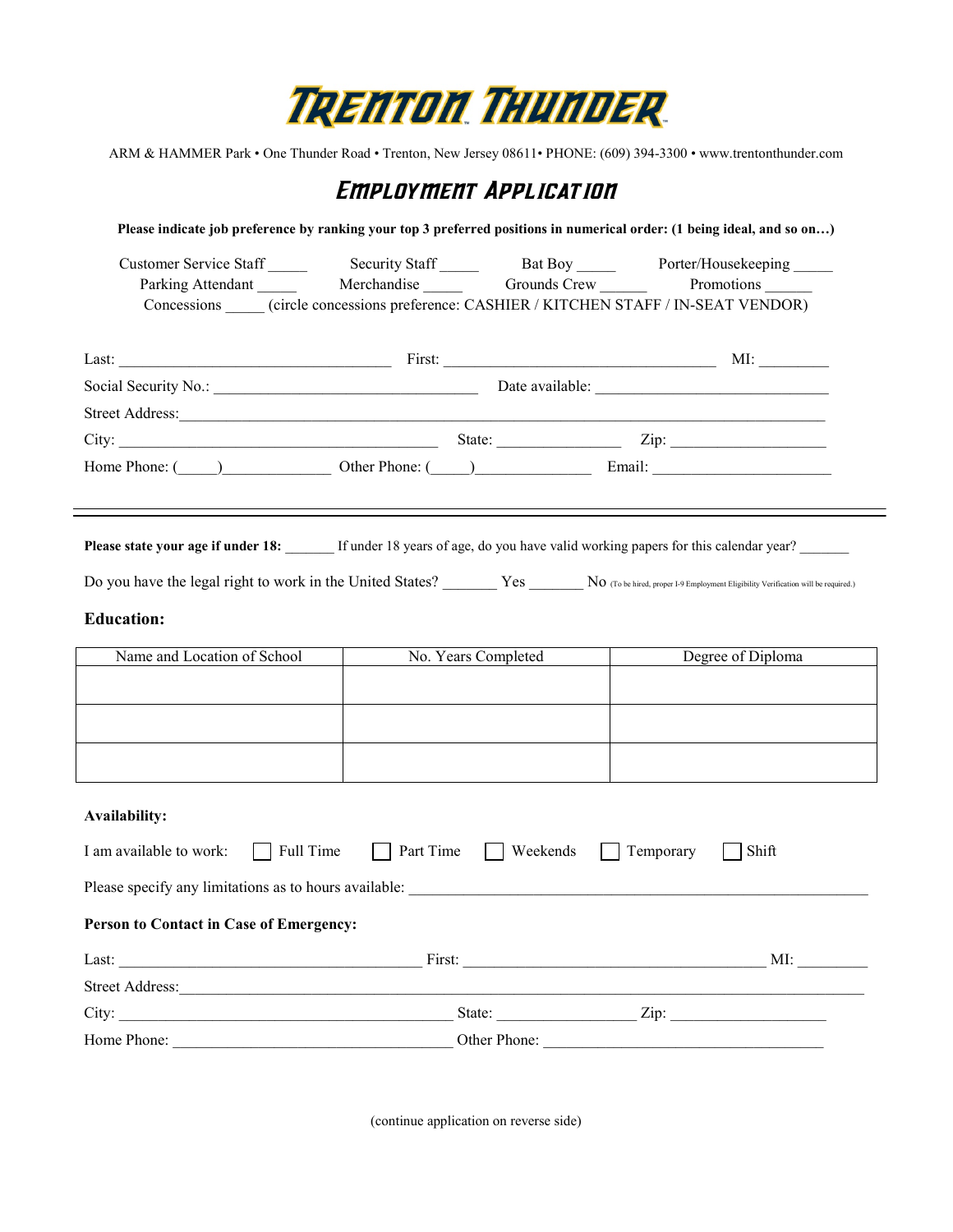

ARM & HAMMER Park • One Thunder Road • Trenton, New Jersey 08611• PHONE: (609) 394-3300 • www.trentonthunder.com

## Employment Application

| Customer Service Staff                                                                                                                                                                      |                        |                     | Security Staff _______ Bat Boy _______ Porter/Housekeeping _____                                                                             |  |
|---------------------------------------------------------------------------------------------------------------------------------------------------------------------------------------------|------------------------|---------------------|----------------------------------------------------------------------------------------------------------------------------------------------|--|
|                                                                                                                                                                                             |                        |                     |                                                                                                                                              |  |
|                                                                                                                                                                                             |                        |                     | Concessions (circle concessions preference: CASHIER / KITCHEN STAFF / IN-SEAT VENDOR)                                                        |  |
|                                                                                                                                                                                             |                        |                     |                                                                                                                                              |  |
|                                                                                                                                                                                             |                        |                     |                                                                                                                                              |  |
|                                                                                                                                                                                             |                        |                     |                                                                                                                                              |  |
|                                                                                                                                                                                             |                        |                     |                                                                                                                                              |  |
|                                                                                                                                                                                             |                        |                     | Home Phone: ( ) Other Phone: ( ) Chern Phone: Email:                                                                                         |  |
|                                                                                                                                                                                             |                        |                     |                                                                                                                                              |  |
|                                                                                                                                                                                             |                        |                     | <b>Please state your age if under 18:</b> If under 18 years of age, do you have valid working papers for this calendar year?                 |  |
|                                                                                                                                                                                             |                        |                     |                                                                                                                                              |  |
|                                                                                                                                                                                             |                        |                     | Do you have the legal right to work in the United States? No (To be hired, proper I-9 Employment Eligibility Verification will be required.) |  |
| <b>Education:</b>                                                                                                                                                                           |                        |                     |                                                                                                                                              |  |
|                                                                                                                                                                                             |                        |                     |                                                                                                                                              |  |
| Name and Location of School                                                                                                                                                                 |                        | No. Years Completed | Degree of Diploma                                                                                                                            |  |
|                                                                                                                                                                                             |                        |                     |                                                                                                                                              |  |
|                                                                                                                                                                                             |                        |                     |                                                                                                                                              |  |
|                                                                                                                                                                                             |                        |                     |                                                                                                                                              |  |
|                                                                                                                                                                                             |                        |                     |                                                                                                                                              |  |
|                                                                                                                                                                                             |                        |                     |                                                                                                                                              |  |
|                                                                                                                                                                                             |                        |                     |                                                                                                                                              |  |
|                                                                                                                                                                                             | Part Time<br>Full Time | Weekends            | Temporary<br>Shift                                                                                                                           |  |
|                                                                                                                                                                                             |                        |                     |                                                                                                                                              |  |
|                                                                                                                                                                                             |                        |                     |                                                                                                                                              |  |
|                                                                                                                                                                                             |                        |                     |                                                                                                                                              |  |
|                                                                                                                                                                                             |                        |                     |                                                                                                                                              |  |
|                                                                                                                                                                                             |                        |                     |                                                                                                                                              |  |
| <b>Availability:</b><br>I am available to work:<br>Person to Contact in Case of Emergency:<br>Street Address: New York Changes and Street Address:<br>Home Phone: Other Phone: Other Phone: |                        |                     |                                                                                                                                              |  |

(continue application on reverse side)